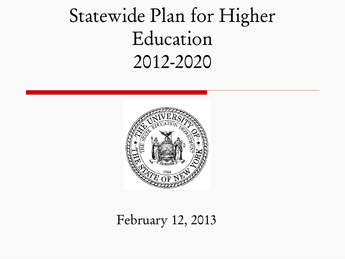# Statewide Plan for Higher Education 2012-2020



#### February 12, 2013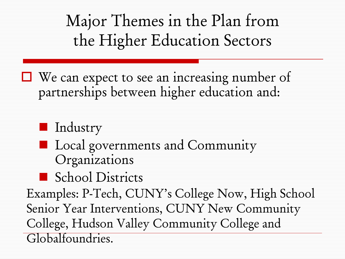$\Box$  We can expect to see an increasing number of partnerships between higher education and:

#### **Industry**

- **Local governments and Community** Organizations
- School Districts

Examples: P-Tech, CUNY's College Now, High School Senior Year Interventions, CUNY New Community College, Hudson Valley Community College and Globalfoundries.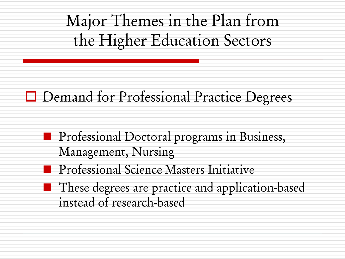### **□** Demand for Professional Practice Degrees

- **Professional Doctoral programs in Business,** Management, Nursing
- **Professional Science Masters Initiative**
- **These degrees are practice and application-based** instead of research-based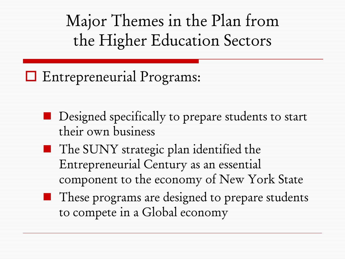**E** Entrepreneurial Programs:

- **Designed specifically to prepare students to start** their own business
- The SUNY strategic plan identified the Entrepreneurial Century as an essential component to the economy of New York State
- These programs are designed to prepare students to compete in a Global economy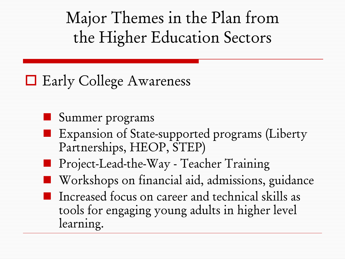### $\Box$  Early College Awareness

- Summer programs
- **EXPANSION OF State-supported programs (Liberty** Partnerships, HEOP, STEP)
- **Project-Lead-the-Way Teacher Training**
- **Workshops on financial aid, admissions, guidance** 
	- Increased focus on career and technical skills as tools for engaging young adults in higher level learning.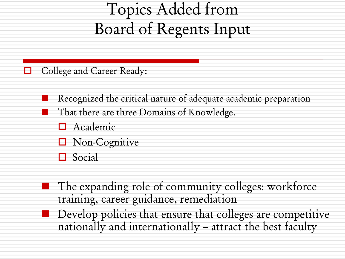# Topics Added from Board of Regents Input

College and Career Ready:

- Recognized the critical nature of adequate academic preparation
- That there are three Domains of Knowledge.
	- **O** Academic
	- **Non-Cognitive**
	- **O** Social
- The expanding role of community colleges: workforce training, career guidance, remediation
- Develop policies that ensure that colleges are competitive nationally and internationally – attract the best faculty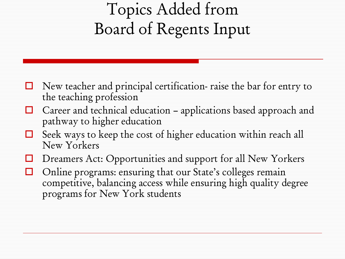# Topics Added from Board of Regents Input

- $\Box$  New teacher and principal certification- raise the bar for entry to the teaching profession
- $\Box$  Career and technical education applications based approach and pathway to higher education
- $\Box$  Seek ways to keep the cost of higher education within reach all New Yorkers
- Dreamers Act: Opportunities and support for all New Yorkers
- $\Box$  Online programs: ensuring that our State's colleges remain competitive, balancing access while ensuring high quality degree programs for New York students